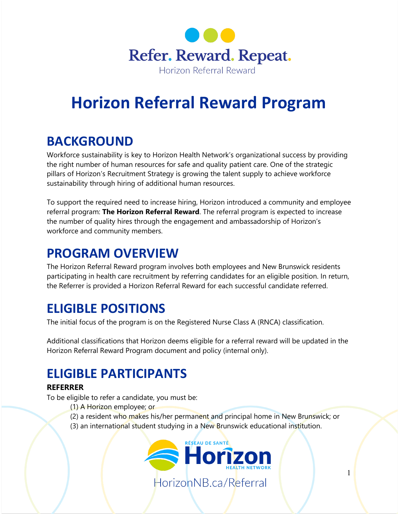

# **Horizon Referral Reward Program**

### **BACKGROUND**

Workforce sustainability is key to Horizon Health Network's organizational success by providing the right number of human resources for safe and quality patient care. One of the strategic pillars of Horizon's Recruitment Strategy is growing the talent supply to achieve workforce sustainability through hiring of additional human resources.

To support the required need to increase hiring, Horizon introduced a community and employee referral program: **The Horizon Referral Reward**. The referral program is expected to increase the number of quality hires through the engagement and ambassadorship of Horizon's workforce and community members.

### **PROGRAM OVERVIEW**

The Horizon Referral Reward program involves both employees and New Brunswick residents participating in health care recruitment by referring candidates for an eligible position. In return, the Referrer is provided a Horizon Referral Reward for each successful candidate referred.

### **ELIGIBLE POSITIONS**

The initial focus of the program is on the Registered Nurse Class A (RNCA) classification.

Additional classifications that Horizon deems eligible for a referral reward will be updated in the Horizon Referral Reward Program document and policy (internal only).

# **ELIGIBLE PARTICIPANTS**

### **REFERRER**

To be eligible to refer a candidate, you must be:

- (1) A Horizon employee; or
- (2) a resident who makes his/her permanent and principal home in New Brunswick; or
- (3) an international student studying in a New Brunswick educational institution.

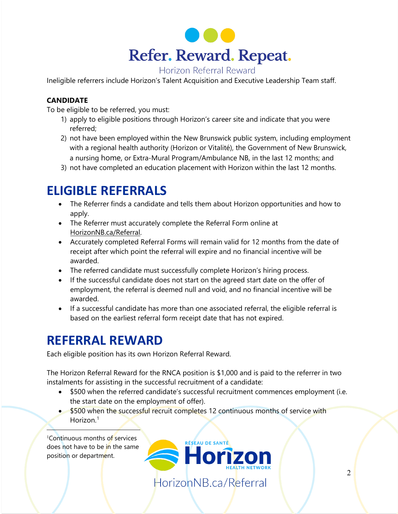

#### Horizon Referral Reward

Ineligible referrers include Horizon's Talent Acquisition and Executive Leadership Team staff.

#### **CANDIDATE**

To be eligible to be referred, you must:

- 1) apply to eligible positions through Horizon's career site and indicate that you were referred;
- 2) not have been employed within the New Brunswick public system, including employment with a regional health authority (Horizon or Vitalité), the Government of New Brunswick, a nursing home, or Extra-Mural Program/Ambulance NB, in the last 12 months; and
- 3) not have completed an education placement with Horizon within the last 12 months.

### **ELIGIBLE REFERRALS**

- The Referrer finds a candidate and tells them about Horizon opportunities and how to apply.
- The Referrer must accurately complete the Referral Form online at [HorizonNB.ca/Referral.](http://www.horizonnb.ca/referral)
- Accurately completed Referral Forms will remain valid for 12 months from the date of receipt after which point the referral will expire and no financial incentive will be awarded.
- The referred candidate must successfully complete Horizon's hiring process.
- If the successful candidate does not start on the agreed start date on the offer of employment, the referral is deemed null and void, and no financial incentive will be awarded.
- If a successful candidate has more than one associated referral, the eligible referral is based on the earliest referral form receipt date that has not expired.

### **REFERRAL REWARD**

Each eligible position has its own Horizon Referral Reward.

The Horizon Referral Reward for the RNCA position is \$1,000 and is paid to the referrer in two instalments for assisting in the successful recruitment of a candidate:

- \$500 when the referred candidate's successful recruitment commences employment (i.e. the start date on the employment of offer).
- \$500 when the successful recruit completes 12 continuous months of service with Horizon. [1](#page-1-0)

<span id="page-1-0"></span>1 Continuous months of services does not have to be in the same position or department.



RÉSEAU DE SANTÉ